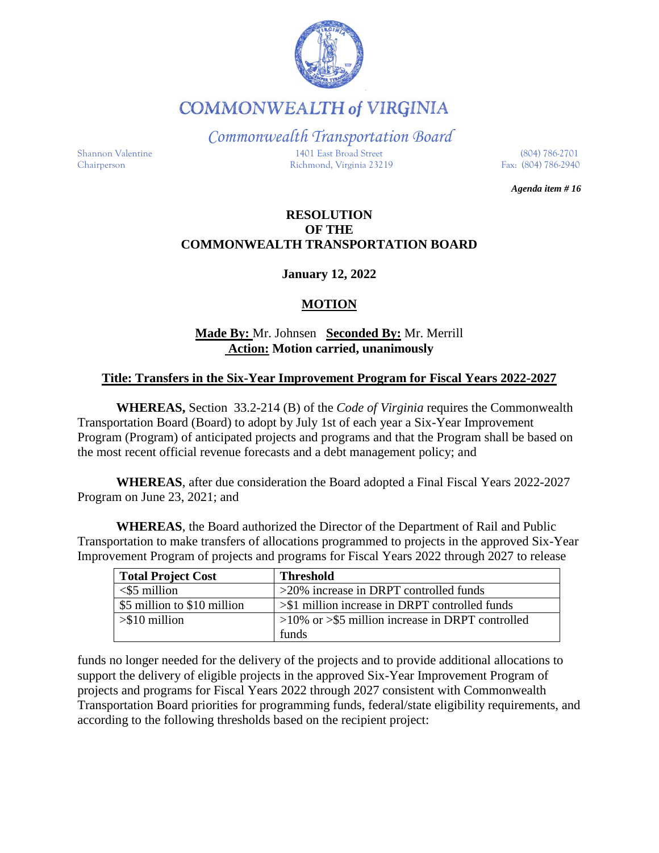

**COMMONWEALTH of VIRGINIA** 

*Commonwealth Transportation Board*

Shannon Valentine 1401 East Broad Street (804) 786-2701 Chairperson Richmond, Virginia 23219 Fax: (804) 786-2940

*Agenda item # 16*

### **RESOLUTION OF THE COMMONWEALTH TRANSPORTATION BOARD**

**January 12, 2022**

### **MOTION**

## **Made By:** Mr. Johnsen **Seconded By:** Mr. Merrill **Action: Motion carried, unanimously**

### **Title: Transfers in the Six-Year Improvement Program for Fiscal Years 2022-2027**

**WHEREAS,** Section 33.2-214 (B) of the *Code of Virginia* requires the Commonwealth Transportation Board (Board) to adopt by July 1st of each year a Six-Year Improvement Program (Program) of anticipated projects and programs and that the Program shall be based on the most recent official revenue forecasts and a debt management policy; and

**WHEREAS**, after due consideration the Board adopted a Final Fiscal Years 2022-2027 Program on June 23, 2021; and

**WHEREAS**, the Board authorized the Director of the Department of Rail and Public Transportation to make transfers of allocations programmed to projects in the approved Six-Year Improvement Program of projects and programs for Fiscal Years 2022 through 2027 to release

| <b>Total Project Cost</b>   | <b>Threshold</b>                                       |
|-----------------------------|--------------------------------------------------------|
| $<$ \$5 million             | $>20\%$ increase in DRPT controlled funds              |
| \$5 million to \$10 million | $>\$ 1 million increase in DRPT controlled funds       |
| $> $10$ million             | $>10\%$ or $>$ \$5 million increase in DRPT controlled |
|                             | funds                                                  |

funds no longer needed for the delivery of the projects and to provide additional allocations to support the delivery of eligible projects in the approved Six-Year Improvement Program of projects and programs for Fiscal Years 2022 through 2027 consistent with Commonwealth Transportation Board priorities for programming funds, federal/state eligibility requirements, and according to the following thresholds based on the recipient project: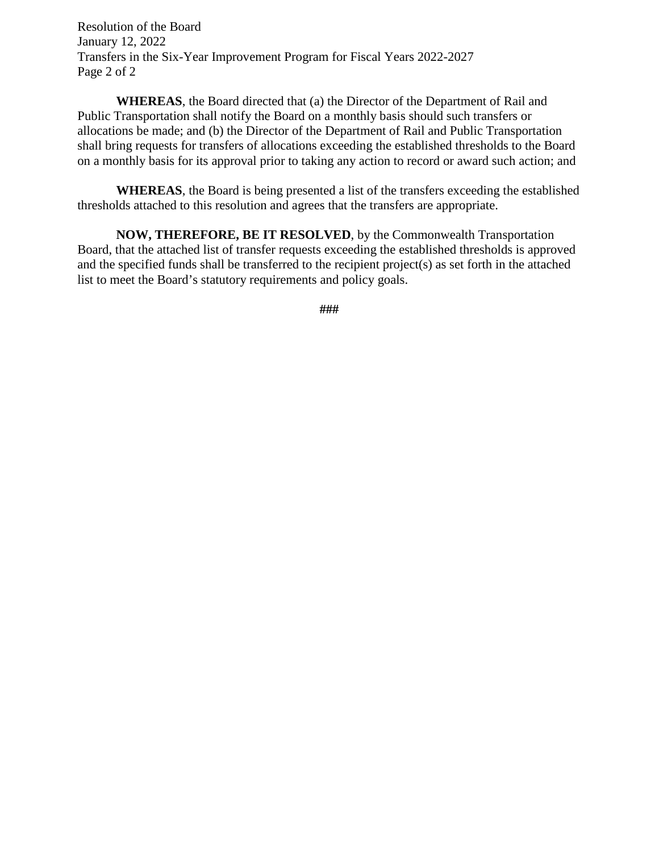Resolution of the Board January 12, 2022 Transfers in the Six-Year Improvement Program for Fiscal Years 2022-2027 Page 2 of 2

**WHEREAS**, the Board directed that (a) the Director of the Department of Rail and Public Transportation shall notify the Board on a monthly basis should such transfers or allocations be made; and (b) the Director of the Department of Rail and Public Transportation shall bring requests for transfers of allocations exceeding the established thresholds to the Board on a monthly basis for its approval prior to taking any action to record or award such action; and

**WHEREAS**, the Board is being presented a list of the transfers exceeding the established thresholds attached to this resolution and agrees that the transfers are appropriate.

**NOW, THEREFORE, BE IT RESOLVED**, by the Commonwealth Transportation Board, that the attached list of transfer requests exceeding the established thresholds is approved and the specified funds shall be transferred to the recipient project(s) as set forth in the attached list to meet the Board's statutory requirements and policy goals.

**###**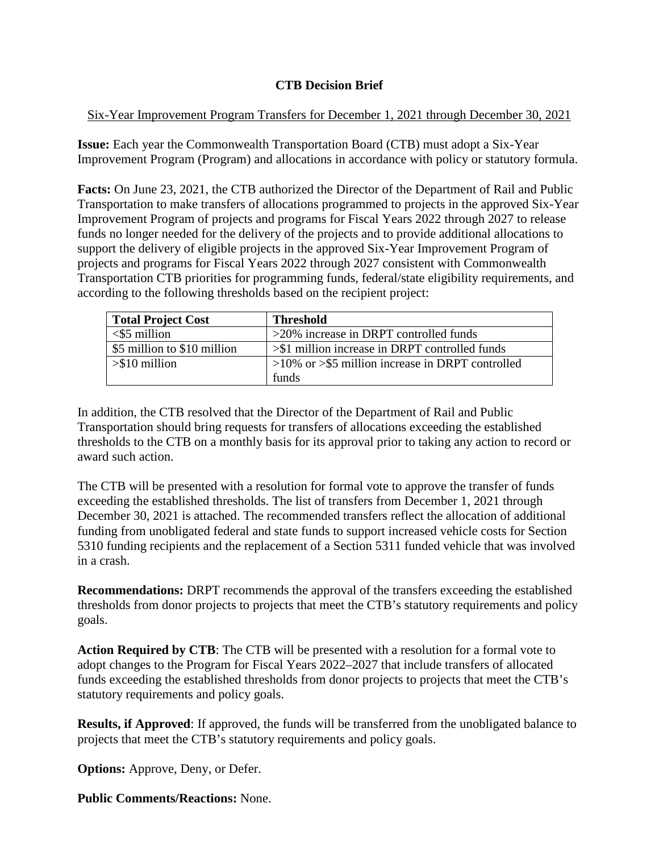# **CTB Decision Brief**

### Six-Year Improvement Program Transfers for December 1, 2021 through December 30, 2021

**Issue:** Each year the Commonwealth Transportation Board (CTB) must adopt a Six-Year Improvement Program (Program) and allocations in accordance with policy or statutory formula.

**Facts:** On June 23, 2021, the CTB authorized the Director of the Department of Rail and Public Transportation to make transfers of allocations programmed to projects in the approved Six-Year Improvement Program of projects and programs for Fiscal Years 2022 through 2027 to release funds no longer needed for the delivery of the projects and to provide additional allocations to support the delivery of eligible projects in the approved Six-Year Improvement Program of projects and programs for Fiscal Years 2022 through 2027 consistent with Commonwealth Transportation CTB priorities for programming funds, federal/state eligibility requirements, and according to the following thresholds based on the recipient project:

| <b>Total Project Cost</b>   | <b>Threshold</b>                                       |
|-----------------------------|--------------------------------------------------------|
| $<$ \$5 million             | >20% increase in DRPT controlled funds                 |
| \$5 million to \$10 million | $>\$ 1 million increase in DRPT controlled funds       |
| $> $10$ million             | $>10\%$ or $>$ \$5 million increase in DRPT controlled |
|                             | funds                                                  |

In addition, the CTB resolved that the Director of the Department of Rail and Public Transportation should bring requests for transfers of allocations exceeding the established thresholds to the CTB on a monthly basis for its approval prior to taking any action to record or award such action.

The CTB will be presented with a resolution for formal vote to approve the transfer of funds exceeding the established thresholds. The list of transfers from December 1, 2021 through December 30, 2021 is attached. The recommended transfers reflect the allocation of additional funding from unobligated federal and state funds to support increased vehicle costs for Section 5310 funding recipients and the replacement of a Section 5311 funded vehicle that was involved in a crash.

**Recommendations:** DRPT recommends the approval of the transfers exceeding the established thresholds from donor projects to projects that meet the CTB's statutory requirements and policy goals.

**Action Required by CTB**: The CTB will be presented with a resolution for a formal vote to adopt changes to the Program for Fiscal Years 2022–2027 that include transfers of allocated funds exceeding the established thresholds from donor projects to projects that meet the CTB's statutory requirements and policy goals.

**Results, if Approved**: If approved, the funds will be transferred from the unobligated balance to projects that meet the CTB's statutory requirements and policy goals.

**Options:** Approve, Deny, or Defer.

**Public Comments/Reactions:** None.